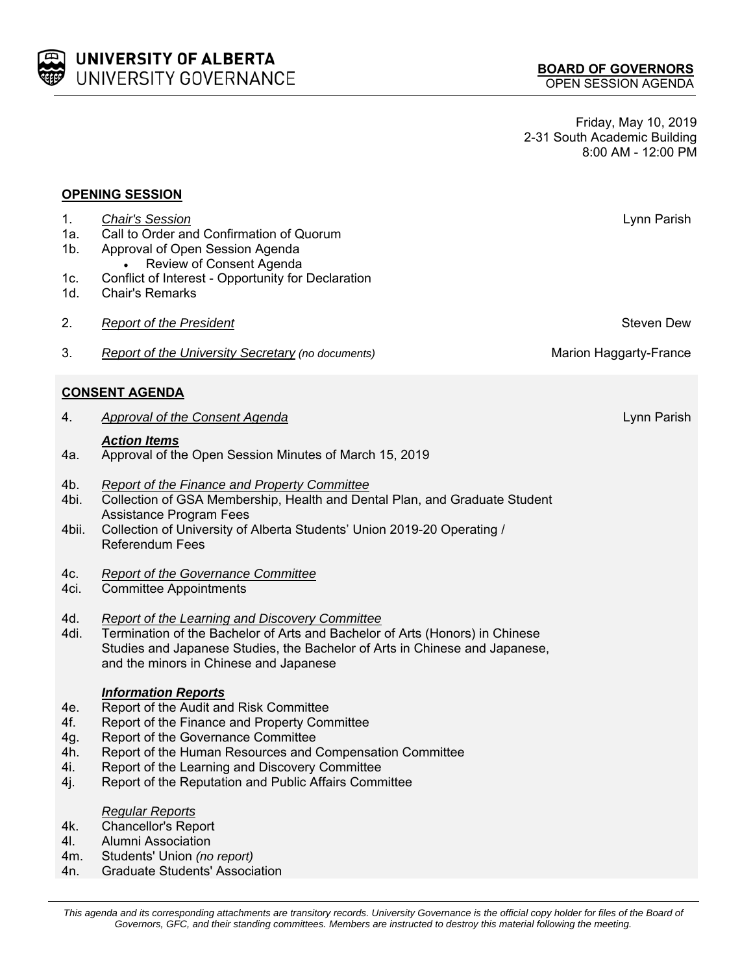

Friday, May 10, 2019 2-31 South Academic Building 8:00 AM - 12:00 PM

## **OPENING SESSION**

|                                        | =:::::= =====::                                                                                                                                                                                                                                                                                                                   |                        |
|----------------------------------------|-----------------------------------------------------------------------------------------------------------------------------------------------------------------------------------------------------------------------------------------------------------------------------------------------------------------------------------|------------------------|
| 1.<br>1a.<br>1b.                       | <b>Chair's Session</b><br>Call to Order and Confirmation of Quorum<br>Approval of Open Session Agenda<br>Review of Consent Agenda                                                                                                                                                                                                 | Lynn Parish            |
| 1c.<br>1d.                             | Conflict of Interest - Opportunity for Declaration<br><b>Chair's Remarks</b>                                                                                                                                                                                                                                                      |                        |
| 2.                                     | <b>Report of the President</b>                                                                                                                                                                                                                                                                                                    | <b>Steven Dew</b>      |
| 3.                                     | <b>Report of the University Secretary (no documents)</b>                                                                                                                                                                                                                                                                          | Marion Haggarty-France |
|                                        | <b>CONSENT AGENDA</b>                                                                                                                                                                                                                                                                                                             |                        |
| 4.                                     | <b>Approval of the Consent Agenda</b>                                                                                                                                                                                                                                                                                             | Lynn Parish            |
| 4a.                                    | <b>Action Items</b><br>Approval of the Open Session Minutes of March 15, 2019                                                                                                                                                                                                                                                     |                        |
| 4b.<br>4bi.                            | <b>Report of the Finance and Property Committee</b><br>Collection of GSA Membership, Health and Dental Plan, and Graduate Student<br><b>Assistance Program Fees</b>                                                                                                                                                               |                        |
| 4bii.                                  | Collection of University of Alberta Students' Union 2019-20 Operating /<br><b>Referendum Fees</b>                                                                                                                                                                                                                                 |                        |
| 4c.<br>4ci.                            | <b>Report of the Governance Committee</b><br><b>Committee Appointments</b>                                                                                                                                                                                                                                                        |                        |
| 4d.<br>4di.                            | <b>Report of the Learning and Discovery Committee</b><br>Termination of the Bachelor of Arts and Bachelor of Arts (Honors) in Chinese<br>Studies and Japanese Studies, the Bachelor of Arts in Chinese and Japanese,<br>and the minors in Chinese and Japanese                                                                    |                        |
| 4e.<br>4f.<br>4g.<br>4h.<br>4i.<br>4j. | <b>Information Reports</b><br>Report of the Audit and Risk Committee<br>Report of the Finance and Property Committee<br>Report of the Governance Committee<br>Report of the Human Resources and Compensation Committee<br>Report of the Learning and Discovery Committee<br>Report of the Reputation and Public Affairs Committee |                        |
| 4k.<br>4I.<br>4m.<br>4n.               | <b>Regular Reports</b><br><b>Chancellor's Report</b><br><b>Alumni Association</b><br>Students' Union (no report)<br><b>Graduate Students' Association</b>                                                                                                                                                                         |                        |

This agenda and its corresponding attachments are transitory records. University Governance is the official copy holder for files of the Board of *Governors, GFC, and their standing committees. Members are instructed to destroy this material following the meeting.*